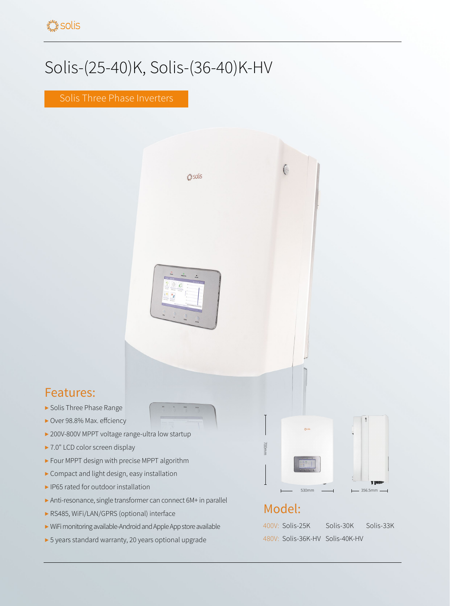## Solis-(25-40)K, Solis-(36-40)K-HV

Solis Three Phase Inverters



## Features:

- ▶ Solis Three Phase Range
- ▶ Over 98.8% Max. effciency
- ▶ 200V-800V MPPT voltage range-ultra low startup
- ▶ 7.0" LCD color screen display
- ▶ Four MPPT design with precise MPPT algorithm
- ▶ Compact and light design, easy installation
- ▶ IP65 rated for outdoor installation
- ▶ Anti-resonance, single transformer can connect 6M+ in parallel
- ▶ RS485, WiFi/LAN/GPRS (optional) interface
- ▶ WiFi monitoring available-Android and Apple App store available
- ▶ 5 years standard warranty, 20 years optional upgrade

| Osdis              | ı                                                         |
|--------------------|-----------------------------------------------------------|
|                    |                                                           |
| 200<br>œ<br>ь<br>ċ |                                                           |
|                    | d<br>r.<br>A fines                                        |
| 530mm              | $\overline{\phantom{0}}$ 356.5mm $\overline{\phantom{0}}$ |

## Model:

400V: Solis-25K Solis-30K Solis-33K 480V: Solis-36K-HV Solis-40K-HV